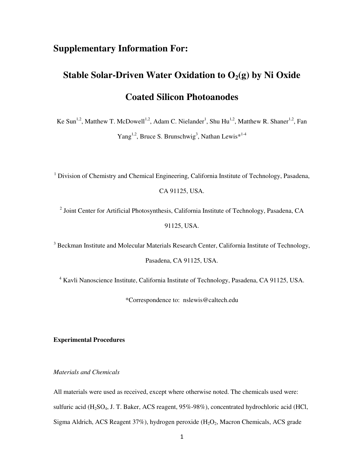# **Supplementary Information For:**

# **Stable Solar-Driven Water Oxidation to O2(g) by Ni Oxide Coated Silicon Photoanodes**

Ke Sun<sup>1,2</sup>, Matthew T. McDowell<sup>1,2</sup>, Adam C. Nielander<sup>1</sup>, Shu Hu<sup>1,2</sup>, Matthew R. Shaner<sup>1,2</sup>, Fan  $Yang<sup>1,2</sup>$ , Bruce S. Brunschwig<sup>3</sup>, Nathan Lewis<sup>\*1-4</sup>

<sup>1</sup> Division of Chemistry and Chemical Engineering, California Institute of Technology, Pasadena,

CA 91125, USA.

<sup>2</sup> Joint Center for Artificial Photosynthesis, California Institute of Technology, Pasadena, CA 91125, USA.

<sup>3</sup> Beckman Institute and Molecular Materials Research Center, California Institute of Technology,

Pasadena, CA 91125, USA.

<sup>4</sup> Kavli Nanoscience Institute, California Institute of Technology, Pasadena, CA 91125, USA.

\*Correspondence to: nslewis@caltech.edu

## **Experimental Procedures**

*Materials and Chemicals* 

All materials were used as received, except where otherwise noted. The chemicals used were: sulfuric acid  $(H_2SO_4, J. T. Baker, ACS reagent, 95%-98%), concentrated hydrochloric acid (HCl, 1)$ Sigma Aldrich, ACS Reagent 37%), hydrogen peroxide  $(H_2O_2)$ , Macron Chemicals, ACS grade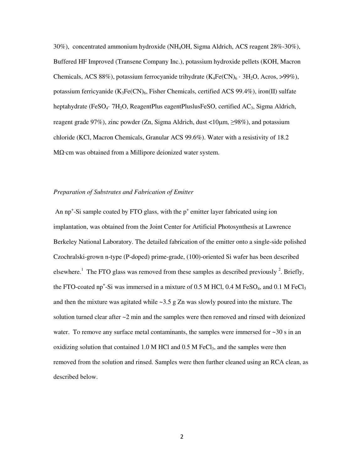30%), concentrated ammonium hydroxide (NH4OH, Sigma Aldrich, ACS reagent 28%-30%), Buffered HF Improved (Transene Company Inc.), potassium hydroxide pellets (KOH, Macron Chemicals, ACS 88%), potassium ferrocyanide trihydrate  $(K_4Fe(CN)_6 \cdot 3H_2O$ , Acros, >99%), potassium ferricyanide  $(K_3Fe(CN)_6$ , Fisher Chemicals, certified ACS 99.4%), iron(II) sulfate heptahydrate (FeSO<sub>4</sub>· 7H<sub>2</sub>O, ReagentPlus eagentPluslusFeSO, certified AC<sub>3</sub>, Sigma Aldrich, reagent grade 97%), zinc powder (Zn, Sigma Aldrich, dust  $\langle 10 \mu m, \geq 98\% \rangle$ , and potassium chloride (KCl, Macron Chemicals, Granular ACS 99.6%). Water with a resistivity of 18.2 MΩ·cm was obtained from a Millipore deionized water system.

#### *Preparation of Substrates and Fabrication of Emitter*

An  $np^+$ -Si sample coated by FTO glass, with the  $p^+$  emitter layer fabricated using ion implantation, was obtained from the Joint Center for Artificial Photosynthesis at Lawrence Berkeley National Laboratory. The detailed fabrication of the emitter onto a single-side polished Czochralski-grown n-type (P-doped) prime-grade, (100)-oriented Si wafer has been described elsewhere.<sup>1</sup> The FTO glass was removed from these samples as described previously  $^{2}$ . Briefly, the FTO-coated np<sup>+</sup>-Si was immersed in a mixture of 0.5 M HCl, 0.4 M FeSO<sub>4</sub>, and 0.1 M FeCl<sub>3</sub> and then the mixture was agitated while  $\sim$ 3.5 g Zn was slowly poured into the mixture. The solution turned clear after  $\sim$ 2 min and the samples were then removed and rinsed with deionized water. To remove any surface metal contaminants, the samples were immersed for  $\sim$ 30 s in an oxidizing solution that contained 1.0 M HCl and 0.5 M FeCl<sub>3</sub>, and the samples were then removed from the solution and rinsed. Samples were then further cleaned using an RCA clean, as described below.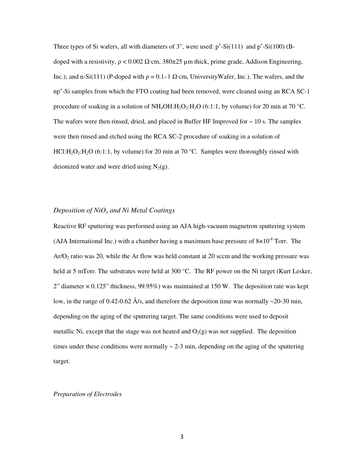Three types of Si wafers, all with diameters of 3", were used:  $p^+$ -Si(111) and  $p^+$ -Si(100) (Bdoped with a resistivity,  $ρ < 0.002$  Ω·cm, 380±25 μm thick, prime grade, Addison Engineering, Inc.); and n-Si(111) (P-doped with  $ρ = 0.1 - 1$  Ω·cm, UniversityWafer, Inc.). The wafers, and the np<sup>+</sup>-Si samples from which the FTO coating had been removed, were cleaned using an RCA SC-1 procedure of soaking in a solution of  $NH_4OH:H_2O_2:H_2O$  (6:1:1, by volume) for 20 min at 70 °C. The wafers were then rinsed, dried, and placed in Buffer HF Improved for  $\sim 10$  s. The samples were then rinsed and etched using the RCA SC-2 procedure of soaking in a solution of HCl:H<sub>2</sub>O<sub>2</sub>:H<sub>2</sub>O (6:1:1, by volume) for 20 min at 70 °C. Samples were thoroughly rinsed with deionized water and were dried using  $N_2(g)$ .

#### *Deposition of NiOx and Ni Metal Coatings*

Reactive RF sputtering was performed using an AJA high-vacuum magnetron sputtering system (AJA International Inc.) with a chamber having a maximum base pressure of  $8\times10^{-8}$  Torr. The  $Ar/\Omega_2$  ratio was 20, while the Ar flow was held constant at 20 sccm and the working pressure was held at 5 mTorr. The substrates were held at 300 °C. The RF power on the Ni target (Kurt Lesker, 2" diameter  $\times$  0.125" thickness, 99.95%) was maintained at 150 W. The deposition rate was kept low, in the range of 0.42-0.62 Å/s, and therefore the deposition time was normally ~20-30 min, depending on the aging of the sputtering target. The same conditions were used to deposit metallic Ni, except that the stage was not heated and  $O_2(g)$  was not supplied. The deposition times under these conditions were normally  $\sim$  2-3 min, depending on the aging of the sputtering target.

#### *Preparation of Electrodes*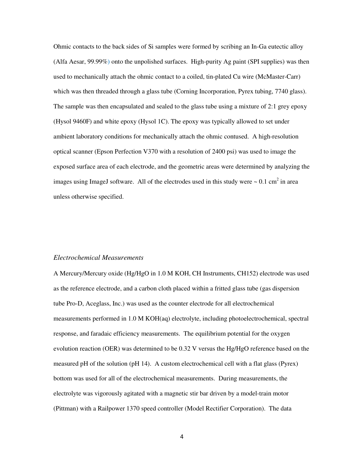Ohmic contacts to the back sides of Si samples were formed by scribing an In-Ga eutectic alloy (Alfa Aesar, 99.99%) onto the unpolished surfaces. High-purity Ag paint (SPI supplies) was then used to mechanically attach the ohmic contact to a coiled, tin-plated Cu wire (McMaster-Carr) which was then threaded through a glass tube (Corning Incorporation, Pyrex tubing, 7740 glass). The sample was then encapsulated and sealed to the glass tube using a mixture of 2:1 grey epoxy (Hysol 9460F) and white epoxy (Hysol 1C). The epoxy was typically allowed to set under ambient laboratory conditions for mechanically attach the ohmic contused. A high-resolution optical scanner (Epson Perfection V370 with a resolution of 2400 psi) was used to image the exposed surface area of each electrode, and the geometric areas were determined by analyzing the images using ImageJ software. All of the electrodes used in this study were  $\sim 0.1 \text{ cm}^2$  in area unless otherwise specified.

#### *Electrochemical Measurements*

A Mercury/Mercury oxide (Hg/HgO in 1.0 M KOH, CH Instruments, CH152) electrode was used as the reference electrode, and a carbon cloth placed within a fritted glass tube (gas dispersion tube Pro-D, Aceglass, Inc.) was used as the counter electrode for all electrochemical measurements performed in 1.0 M KOH(aq) electrolyte, including photoelectrochemical, spectral response, and faradaic efficiency measurements. The equilibrium potential for the oxygen evolution reaction (OER) was determined to be 0.32 V versus the Hg/HgO reference based on the measured pH of the solution (pH 14). A custom electrochemical cell with a flat glass (Pyrex) bottom was used for all of the electrochemical measurements. During measurements, the electrolyte was vigorously agitated with a magnetic stir bar driven by a model-train motor (Pittman) with a Railpower 1370 speed controller (Model Rectifier Corporation). The data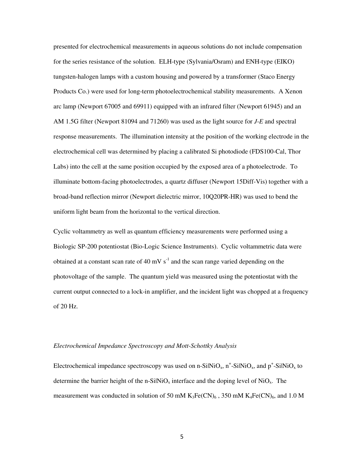presented for electrochemical measurements in aqueous solutions do not include compensation for the series resistance of the solution. ELH-type (Sylvania/Osram) and ENH-type (EIKO) tungsten-halogen lamps with a custom housing and powered by a transformer (Staco Energy Products Co.) were used for long-term photoelectrochemical stability measurements. A Xenon arc lamp (Newport 67005 and 69911) equipped with an infrared filter (Newport 61945) and an AM 1.5G filter (Newport 81094 and 71260) was used as the light source for *J*-*E* and spectral response measurements. The illumination intensity at the position of the working electrode in the electrochemical cell was determined by placing a calibrated Si photodiode (FDS100-Cal, Thor Labs) into the cell at the same position occupied by the exposed area of a photoelectrode. To illuminate bottom-facing photoelectrodes, a quartz diffuser (Newport 15Diff-Vis) together with a broad-band reflection mirror (Newport dielectric mirror, 10Q20PR-HR) was used to bend the uniform light beam from the horizontal to the vertical direction.

Cyclic voltammetry as well as quantum efficiency measurements were performed using a Biologic SP-200 potentiostat (Bio-Logic Science Instruments). Cyclic voltammetric data were obtained at a constant scan rate of 40 mV  $s^{-1}$  and the scan range varied depending on the photovoltage of the sample. The quantum yield was measured using the potentiostat with the current output connected to a lock-in amplifier, and the incident light was chopped at a frequency of 20 Hz.

#### *Electrochemical Impedance Spectroscopy and Mott-Schottky Analysis*

Electrochemical impedance spectroscopy was used on n-SilNiO<sub>x</sub>, n<sup>+</sup>-SilNiO<sub>x</sub>, and p<sup>+</sup>-SilNiO<sub>x</sub> to determine the barrier height of the n-SilNiO<sub>x</sub> interface and the doping level of NiO<sub>x</sub>. The measurement was conducted in solution of 50 mM  $K_3Fe(CN)_6$ , 350 mM  $K_4Fe(CN)_6$ , and 1.0 M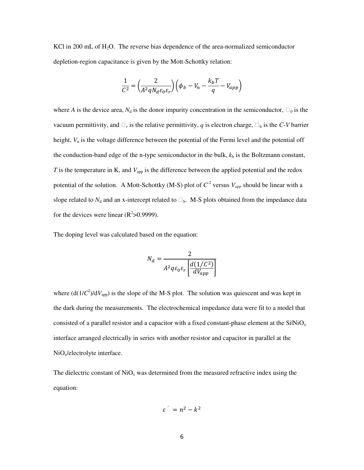KCl in 200 mL of  $H_2O$ . The reverse bias dependence of the area-normalized semiconductor depletion-region capacitance is given by the Mott-Schottky relation:

$$
\frac{1}{C^2} = \left(\frac{2}{A^2 q N_d \varepsilon_0 \varepsilon_r}\right) \left(\phi_b - V_n - \frac{k_b T}{q} - V_{app}\right)
$$

where *A* is the device area,  $N_d$  is the donor impurity concentration in the semiconductor,  $\Box_0$  is the vacuum permittivity, and  $\Box_r$  is the relative permittivity, q is electron charge,  $\Box_b$  is the C-*V* barrier height,  $V_n$  is the voltage difference between the potential of the Fermi level and the potential off the conduction-band edge of the n-type semiconductor in the bulk,  $k<sub>b</sub>$  is the Boltzmann constant, *T* is the temperature in K, and  $V_{app}$  is the difference between the applied potential and the redox potential of the solution. A Mott-Schottky (M-S) plot of  $C^2$  versus  $V_{app}$  should be linear with a slope related to  $N_d$  and an x-intercept related to  $\Box_b$ . M-S plots obtained from the impedance data for the devices were linear  $(R^2>0.9999)$ .

The doping level was calculated based on the equation:

$$
N_d = \frac{2}{A^2 q \varepsilon_0 \varepsilon_r \left[ \frac{d(1/\mathcal{C}^2)}{dV_{app}} \right]}
$$

where  $(d(1/C^2)/dV_{app})$  is the slope of the M-S plot. The solution was quiescent and was kept in the dark during the measurements. The electrochemical impedance data were fit to a model that consisted of a parallel resistor and a capacitor with a fixed constant-phase element at the  $SiNiO<sub>x</sub>$ interface arranged electrically in series with another resistor and capacitor in parallel at the NiO<sub>x</sub>/electrolyte interface.

The dielectric constant of  $NiO<sub>x</sub>$  was determined from the measured refractive index using the equation:

$$
\varepsilon^{'} = n^2 - k^2
$$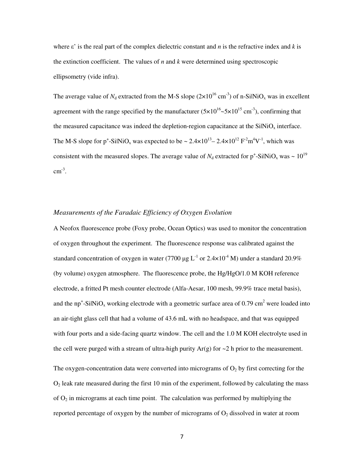where  $\varepsilon'$  is the real part of the complex dielectric constant and *n* is the refractive index and *k* is the extinction coefficient. The values of *n* and *k* were determined using spectroscopic ellipsometry (vide infra).

The average value of  $N_d$  extracted from the M-S slope  $(2\times10^{16} \text{ cm}^{-3})$  of n-SilNiO<sub>x</sub> was in excellent agreement with the range specified by the manufacturer  $(5 \times 10^{16} \text{--} 5 \times 10^{15} \text{ cm}^{-3})$ , confirming that the measured capacitance was indeed the depletion-region capacitance at the  $SiNiO<sub>x</sub>$  interface. The M-S slope for p<sup>+</sup>-SilNiO<sub>x</sub> was expected to be ~  $2.4 \times 10^{13} - 2.4 \times 10^{12}$  F<sup>2</sup>m<sup>4</sup>V<sup>-1</sup>, which was consistent with the measured slopes. The average value of  $N_d$  extracted for  $p^+$ -SilNiO<sub>x</sub> was  $\sim 10^{19}$  $cm^{-3}$ .

#### *Measurements of the Faradaic Efficiency of Oxygen Evolution*

A Neofox fluorescence probe (Foxy probe, Ocean Optics) was used to monitor the concentration of oxygen throughout the experiment. The fluorescence response was calibrated against the standard concentration of oxygen in water (7700  $\mu$ g L<sup>-1</sup> or 2.4×10<sup>-4</sup> M) under a standard 20.9% (by volume) oxygen atmosphere. The fluorescence probe, the Hg/HgO/1.0 M KOH reference electrode, a fritted Pt mesh counter electrode (Alfa-Aesar, 100 mesh, 99.9% trace metal basis), and the np<sup>+</sup>-SilNiO<sub>x</sub> working electrode with a geometric surface area of 0.79 cm<sup>2</sup> were loaded into an air-tight glass cell that had a volume of 43.6 mL with no headspace, and that was equipped with four ports and a side-facing quartz window. The cell and the 1.0 M KOH electrolyte used in the cell were purged with a stream of ultra-high purity  $Ar(g)$  for  $\sim$  2 h prior to the measurement. The oxygen-concentration data were converted into micrograms of  $O<sub>2</sub>$  by first correcting for the  $O<sub>2</sub>$  leak rate measured during the first 10 min of the experiment, followed by calculating the mass of  $O_2$  in micrograms at each time point. The calculation was performed by multiplying the reported percentage of oxygen by the number of micrograms of  $O<sub>2</sub>$  dissolved in water at room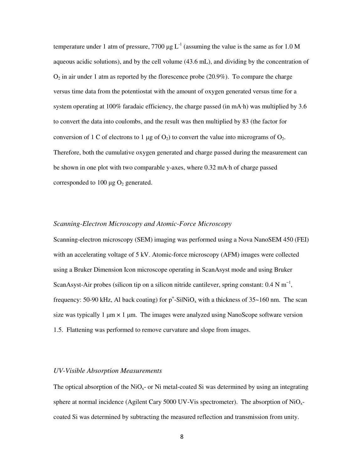temperature under 1 atm of pressure, 7700  $\mu$ g L<sup>-1</sup> (assuming the value is the same as for 1.0 M aqueous acidic solutions), and by the cell volume (43.6 mL), and dividing by the concentration of  $O<sub>2</sub>$  in air under 1 atm as reported by the florescence probe (20.9%). To compare the charge versus time data from the potentiostat with the amount of oxygen generated versus time for a system operating at 100% faradaic efficiency, the charge passed (in mA·h) was multiplied by 3.6 to convert the data into coulombs, and the result was then multiplied by 83 (the factor for conversion of 1 C of electrons to 1  $\mu$ g of O<sub>2</sub>) to convert the value into micrograms of O<sub>2</sub>. Therefore, both the cumulative oxygen generated and charge passed during the measurement can be shown in one plot with two comparable y-axes, where 0.32 mA·h of charge passed corresponded to 100  $\mu$ g O<sub>2</sub> generated.

#### *Scanning-Electron Microscopy and Atomic-Force Microscopy*

Scanning-electron microscopy (SEM) imaging was performed using a Nova NanoSEM 450 (FEI) with an accelerating voltage of 5 kV. Atomic-force microscopy (AFM) images were collected using a Bruker Dimension Icon microscope operating in ScanAsyst mode and using Bruker ScanAsyst-Air probes (silicon tip on a silicon nitride cantilever, spring constant:  $0.4 \text{ N m}^{-1}$ , frequency: 50-90 kHz, Al back coating) for  $p^+$ -SilNiO<sub>x</sub> with a thickness of 35~160 nm. The scan size was typically 1  $\mu$ m  $\times$  1  $\mu$ m. The images were analyzed using NanoScope software version 1.5. Flattening was performed to remove curvature and slope from images.

# *UV-Visible Absorption Measurements*

The optical absorption of the  $NiO<sub>x</sub>$  or Ni metal-coated Si was determined by using an integrating sphere at normal incidence (Agilent Cary 5000 UV-Vis spectrometer). The absorption of  $NiO<sub>x</sub>$ coated Si was determined by subtracting the measured reflection and transmission from unity.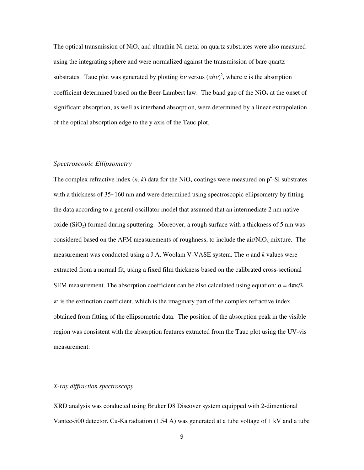The optical transmission of  $NiO<sub>x</sub>$  and ultrathin Ni metal on quartz substrates were also measured using the integrating sphere and were normalized against the transmission of bare quartz substrates. Tauc plot was generated by plotting  $h\nu$  versus  $(ah\nu)^2$ , where  $\alpha$  is the absorption coefficient determined based on the Beer-Lambert law. The band gap of the  $NiO<sub>x</sub>$  at the onset of significant absorption, as well as interband absorption, were determined by a linear extrapolation of the optical absorption edge to the y axis of the Tauc plot.

#### *Spectroscopic Ellipsometry*

The complex refractive index  $(n, k)$  data for the NiO<sub>x</sub> coatings were measured on  $p^+$ -Si substrates with a thickness of  $35-160$  nm and were determined using spectroscopic ellipsometry by fitting the data according to a general oscillator model that assumed that an intermediate 2 nm native oxide  $(SiO<sub>2</sub>)$  formed during sputtering. Moreover, a rough surface with a thickness of 5 nm was considered based on the AFM measurements of roughness, to include the air/NiO<sub>x</sub> mixture. The measurement was conducted using a J.A. Woolam V-VASE system. The *n* and *k* values were extracted from a normal fit, using a fixed film thickness based on the calibrated cross-sectional SEM measurement. The absorption coefficient can be also calculated using equation:  $\alpha = 4\pi\kappa/\lambda$ .  $\kappa$  is the extinction coefficient, which is the imaginary part of the complex refractive index obtained from fitting of the ellipsometric data. The position of the absorption peak in the visible region was consistent with the absorption features extracted from the Tauc plot using the UV-vis measurement.

#### *X-ray diffraction spectroscopy*

XRD analysis was conducted using Bruker D8 Discover system equipped with 2-dimentional Vantec-500 detector. Cu-Ka radiation  $(1.54 \text{ Å})$  was generated at a tube voltage of 1 kV and a tube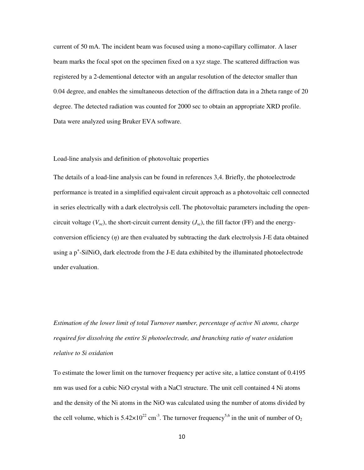current of 50 mA. The incident beam was focused using a mono-capillary collimator. A laser beam marks the focal spot on the specimen fixed on a xyz stage. The scattered diffraction was registered by a 2-dementional detector with an angular resolution of the detector smaller than 0.04 degree, and enables the simultaneous detection of the diffraction data in a 2theta range of 20 degree. The detected radiation was counted for 2000 sec to obtain an appropriate XRD profile. Data were analyzed using Bruker EVA software.

#### Load-line analysis and definition of photovoltaic properties

The details of a load-line analysis can be found in references 3,4. Briefly, the photoelectrode performance is treated in a simplified equivalent circuit approach as a photovoltaic cell connected in series electrically with a dark electrolysis cell. The photovoltaic parameters including the opencircuit voltage  $(V_{oc})$ , the short-circuit current density  $(J_{sc})$ , the fill factor (FF) and the energyconversion efficiency  $(\eta)$  are then evaluated by subtracting the dark electrolysis J-E data obtained using a  $p^+$ -SilNiO<sub>x</sub> dark electrode from the J-E data exhibited by the illuminated photoelectrode under evaluation.

*Estimation of the lower limit of total Turnover number, percentage of active Ni atoms, charge required for dissolving the entire Si photoelectrode, and branching ratio of water oxidation relative to Si oxidation* 

To estimate the lower limit on the turnover frequency per active site, a lattice constant of 0.4195 nm was used for a cubic NiO crystal with a NaCl structure. The unit cell contained 4 Ni atoms and the density of the Ni atoms in the NiO was calculated using the number of atoms divided by the cell volume, which is  $5.42 \times 10^{22}$  cm<sup>-3</sup>. The turnover frequency<sup>5,6</sup> in the unit of number of O<sub>2</sub>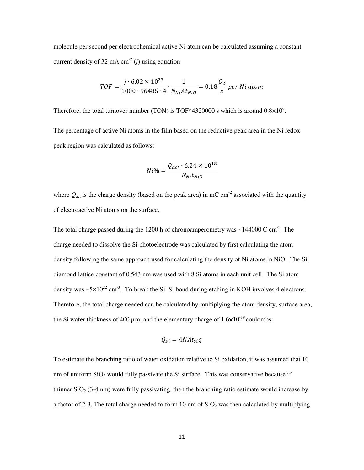molecule per second per electrochemical active Ni atom can be calculated assuming a constant current density of 32 mA  $cm<sup>2</sup>$  (*j*) using equation

$$
TOF = \frac{j \cdot 6.02 \times 10^{23}}{1000 \cdot 96485 \cdot 4} \cdot \frac{1}{N_{Ni}At_{NiO}} = 0.18 \frac{O_2}{s} \text{ per Ni atom}
$$

Therefore, the total turnover number (TON) is TOF\*4320000 s which is around  $0.8 \times 10^6$ .

The percentage of active Ni atoms in the film based on the reductive peak area in the Ni redox peak region was calculated as follows:

$$
Ni\% = \frac{Q_{act} \cdot 6.24 \times 10^{18}}{N_{Ni}t_{NiO}}
$$

where  $Q_{\text{act}}$  is the charge density (based on the peak area) in mC cm<sup>-2</sup> associated with the quantity of electroactive Ni atoms on the surface.

The total charge passed during the 1200 h of chronoamperometry was  $\sim$ 144000 C cm<sup>-2</sup>. The charge needed to dissolve the Si photoelectrode was calculated by first calculating the atom density following the same approach used for calculating the density of Ni atoms in NiO. The Si diamond lattice constant of 0.543 nm was used with 8 Si atoms in each unit cell. The Si atom density was  $\sim 5 \times 10^{22}$  cm<sup>-3</sup>. To break the Si–Si bond during etching in KOH involves 4 electrons. Therefore, the total charge needed can be calculated by multiplying the atom density, surface area, the Si wafer thickness of 400  $\mu$ m, and the elementary charge of  $1.6 \times 10^{-19}$  coulombs:

$$
Q_{Si}=4NAt_{Si}q
$$

To estimate the branching ratio of water oxidation relative to Si oxidation, it was assumed that 10 nm of uniform  $SiO<sub>2</sub>$  would fully passivate the Si surface. This was conservative because if thinner  $SiO<sub>2</sub> (3-4 nm)$  were fully passivating, then the branching ratio estimate would increase by a factor of 2-3. The total charge needed to form 10 nm of  $SiO<sub>2</sub>$  was then calculated by multiplying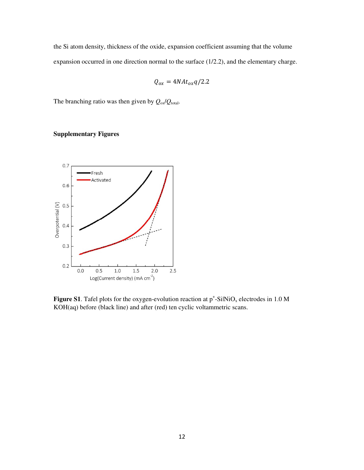the Si atom density, thickness of the oxide, expansion coefficient assuming that the volume expansion occurred in one direction normal to the surface (1/2.2), and the elementary charge.

$$
Q_{ox} = 4NAt_{ox}q/2.2
$$

The branching ratio was then given by  $Q_{ox}/Q_{total}$ .

# **Supplementary Figures**



**Figure S1**. Tafel plots for the oxygen-evolution reaction at  $p^*$ -SilNiO<sub>x</sub> electrodes in 1.0 M KOH(aq) before (black line) and after (red) ten cyclic voltammetric scans.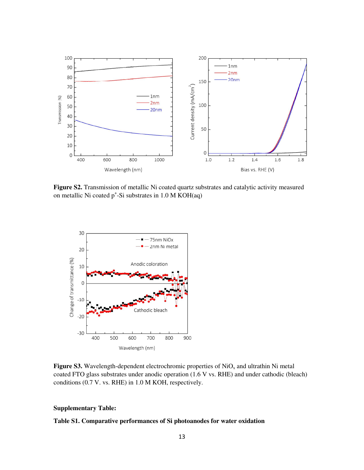

**Figure S2.** Transmission of metallic Ni coated quartz substrates and catalytic activity measured on metallic Ni coated  $p^*$ -Si substrates in 1.0 M KOH(aq)



**Figure S3.** Wavelength-dependent electrochromic properties of  $NiO<sub>x</sub>$  and ultrathin Ni metal coated FTO glass substrates under anodic operation (1.6 V vs. RHE) and under cathodic (bleach) conditions (0.7 V. vs. RHE) in 1.0 M KOH, respectively.

## **Supplementary Table:**

# **Table S1. Comparative performances of Si photoanodes for water oxidation**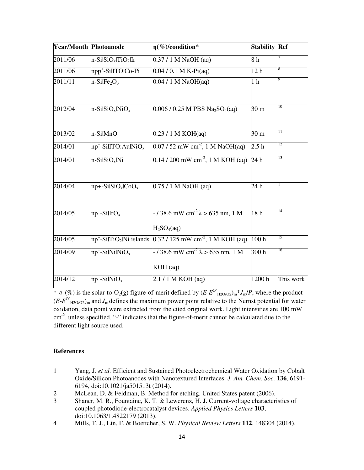| <b>Year/Month Photoanode</b> |                                              | $\eta$ (%)/condition*                                     | <b>Stability Ref</b> |           |
|------------------------------|----------------------------------------------|-----------------------------------------------------------|----------------------|-----------|
| 2011/06                      | $n-SilSiO_x TiO_2 Ir$                        | $0.37 / 1 M$ NaOH (aq)                                    | 8 <sub>h</sub>       |           |
| 2011/06                      | npp <sup>+</sup> -SilITOlCo-Pi               | $\overline{0.04/0.1}$ M K-Pi(aq)                          | 12 <sub>h</sub>      |           |
| 2011/11                      | $n-SilFe2O3$                                 | $0.04 / 1 M$ NaOH(aq)                                     | 1 <sub>h</sub>       |           |
| 2012/04                      | $n-SilSiO_x NiO_x$                           | $0.006 / 0.25$ M PBS Na <sub>2</sub> SO <sub>4</sub> (aq) | 30 <sub>m</sub>      | 10        |
| 2013/02                      | n-SilMnO                                     | 0.23 / 1 M KOH(aq)                                        | 30 <sub>m</sub>      | 11        |
| 2014/01                      | $np^+$ -SilITO:AulNiO <sub>x</sub>           | $0.07/52$ mW cm <sup>-2</sup> , 1 M NaOH(aq)              | 2.5h                 | 12        |
| 2014/01                      | $n-SilSiO_x/Ni$                              | $0.14 / 200$ mW cm <sup>-2</sup> , 1 M KOH (aq)           | $\overline{24h}$     | 13        |
| 2014/04                      | $np+$ -SilSiO <sub>x</sub> lCoO <sub>x</sub> | $0.75/1$ M NaOH (aq)                                      | 24 h                 |           |
| 2014/05                      | $np^+$ -SilIrO <sub>x</sub>                  | $-138.6$ mW cm <sup>-2</sup> $\lambda > 635$ nm, 1 M      | 18 <sub>h</sub>      | 14        |
|                              |                                              | H <sub>2</sub> SO <sub>4</sub> (aq)                       |                      |           |
| 2014/05                      | $np^+$ -SilTiO <sub>2</sub>  Ni islands      | $0.32 / 125$ mW cm <sup>-2</sup> , 1 M KOH (aq)           | 100h                 | 15        |
| 2014/09                      | $np^+$ -SilNilNiO <sub>x</sub>               | $-138.6$ mW cm <sup>-2</sup> $\lambda$ > 635 nm, 1 M      | 300h                 | 16        |
|                              |                                              | $KOH$ (aq)                                                |                      |           |
| 2014/12                      | $np^+$ -SilNiO <sub>x</sub>                  | 2.1 / 1 M KOH (aq)                                        | 1200h                | This work |

\*  $\eta$  (%) is the solar-to-O<sub>2</sub>(g) figure-of-merit defined by  $(E-E^{O'}_{H2O/O2})_{m}^{*}J_{m}/P$ , where the product  $(E-E^{O'}_{H2O/O2})_m$  and  $J_m$  defines the maximum power point relative to the Nernst potential for water oxidation, data point were extracted from the cited original work. Light intensities are 100 mW cm-2, unless specified. "-" indicates that the figure-of-merit cannot be calculated due to the different light source used.

#### **References**

- 1 Yang, J. *et al.* Efficient and Sustained Photoelectrochemical Water Oxidation by Cobalt Oxide/Silicon Photoanodes with Nanotextured Interfaces. *J. Am. Chem. Soc.* **136**, 6191- 6194, doi:10.1021/ja501513t (2014).
- 2 McLean, D. & Feldman, B. Method for etching. United States patent (2006).
- 3 Shaner, M. R., Fountaine, K. T. & Lewerenz, H. J. Current-voltage characteristics of coupled photodiode-electrocatalyst devices. *Applied Physics Letters* **103**, doi:10.1063/1.4822179 (2013).
- 4 Mills, T. J., Lin, F. & Boettcher, S. W. *Physical Review Letters* **112**, 148304 (2014).